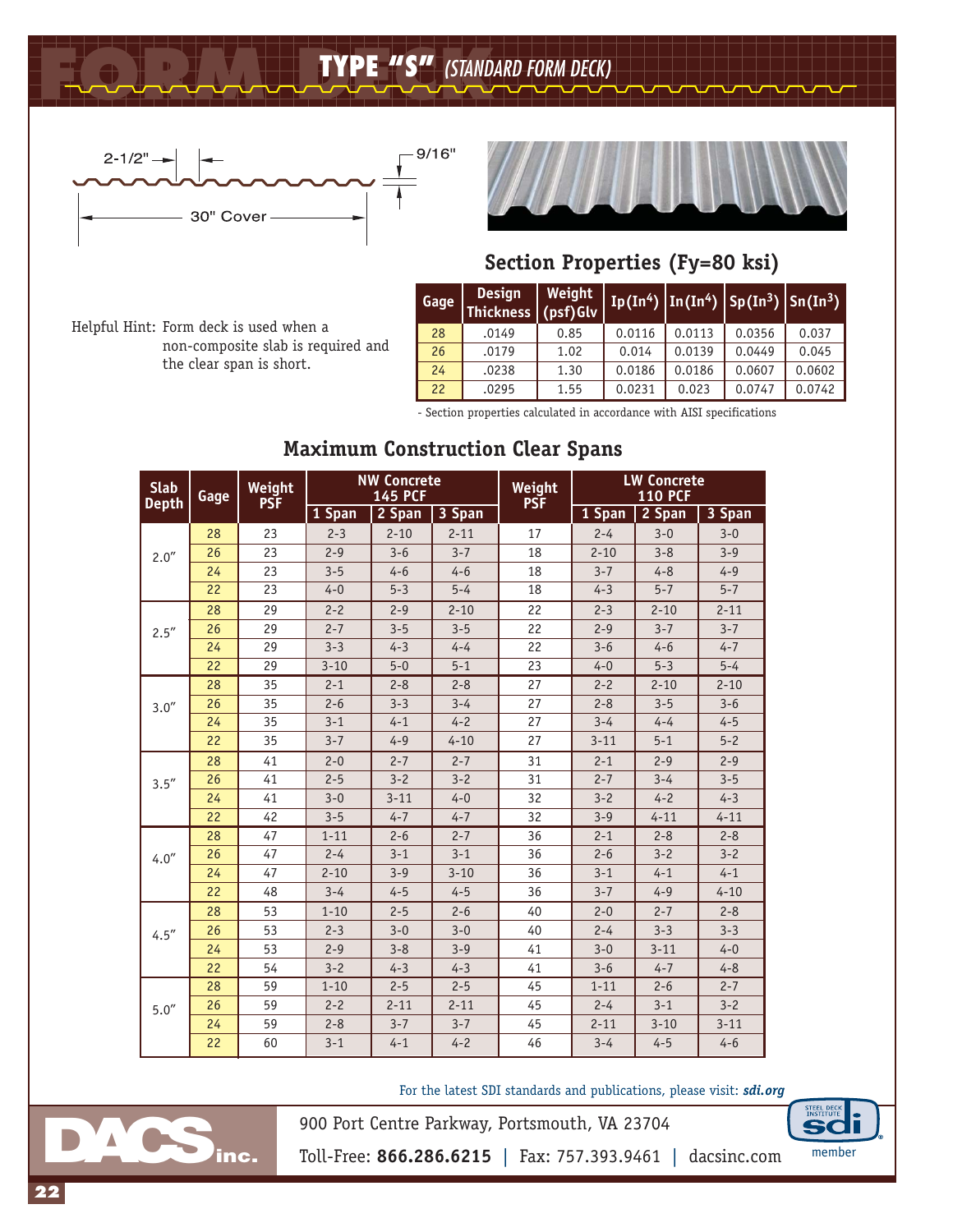## **FORM DECK TYPE "S"** *(STANDARD FORM DECK)*



non-composite slab is required and

Helpful Hint: Form deck is used when a

the clear span is short.



## **Section Properties (Fy=80 ksi)**

| Gage | <b>Design</b><br>Thickness (psf) Glv | Weight |        |        | $\boxed{Ip(In^4)   In(In^4)   Sp(In^3)   Sn(In^3)}$ |        |  |
|------|--------------------------------------|--------|--------|--------|-----------------------------------------------------|--------|--|
| 28   | .0149                                | 0.85   | 0.0116 | 0.0113 | 0.0356                                              | 0.037  |  |
| 26   | .0179                                | 1.02   | 0.014  | 0.0139 | 0.0449                                              | 0.045  |  |
| 24   | .0238                                | 1.30   | 0.0186 | 0.0186 | 0.0607                                              | 0.0602 |  |
| 22   | .0295                                | 1.55   | 0.0231 | 0.023  | 0.0747                                              | 0.0742 |  |

- Section properties calculated in accordance with AISI specifications

| <b>Slab</b><br><b>Depth</b> | Gage | Weight<br><b>PSF</b> | <b>NW Concrete</b><br><b>145 PCF</b> |          |          | Weight<br><b>PSF</b> | <b>LW Concrete</b><br><b>110 PCF</b> |          |          |  |
|-----------------------------|------|----------------------|--------------------------------------|----------|----------|----------------------|--------------------------------------|----------|----------|--|
|                             |      |                      | 1 Span                               | 2 Span   | 3 Span   |                      | 1 Span                               | 2 Span   | 3 Span   |  |
|                             | 28   | 23                   | $2 - 3$                              | $2 - 10$ | $2 - 11$ | 17                   | $2 - 4$                              | $3 - 0$  | $3 - 0$  |  |
| 2.0''                       | 26   | 23                   | $2 - 9$                              | $3 - 6$  | $3 - 7$  | 18                   | $2 - 10$                             | $3 - 8$  | $3 - 9$  |  |
|                             | 24   | 23                   | $3 - 5$                              | $4 - 6$  | $4 - 6$  | 18                   | $3 - 7$                              | $4 - 8$  | $4 - 9$  |  |
|                             | 22   | 23                   | $4 - 0$                              | $5 - 3$  | $5 - 4$  | 18                   | $4 - 3$                              | $5 - 7$  | $5 - 7$  |  |
|                             | 28   | 29                   | $2 - 2$                              | $2 - 9$  | $2 - 10$ | 22                   | $2 - 3$                              | $2 - 10$ | $2 - 11$ |  |
| 2.5''                       | 26   | 29                   | $2 - 7$                              | $3 - 5$  | $3 - 5$  | 22                   | $2 - 9$                              | $3 - 7$  | $3 - 7$  |  |
|                             | 24   | 29                   | $3 - 3$                              | $4 - 3$  | $4 - 4$  | 22                   | $3 - 6$                              | $4 - 6$  | $4 - 7$  |  |
|                             | 22   | 29                   | $3 - 10$                             | $5 - 0$  | $5 - 1$  | 23                   | $4 - 0$                              | $5 - 3$  | $5 - 4$  |  |
|                             | 28   | 35                   | $2 - 1$                              | $2 - 8$  | $2 - 8$  | 27                   | $2 - 2$                              | $2 - 10$ | $2 - 10$ |  |
| 3.0''                       | 26   | 35                   | $2 - 6$                              | $3 - 3$  | $3 - 4$  | 27                   | $2 - 8$                              | $3 - 5$  | $3 - 6$  |  |
|                             | 24   | 35                   | $3 - 1$                              | $4 - 1$  | $4 - 2$  | 27                   | $3 - 4$                              | $4 - 4$  | $4 - 5$  |  |
|                             | 22   | 35                   | $3 - 7$                              | $4 - 9$  | $4 - 10$ | 27                   | $3 - 11$                             | $5 - 1$  | $5 - 2$  |  |
|                             | 28   | 41                   | $2 - 0$                              | $2 - 7$  | $2 - 7$  | 31                   | $2 - 1$                              | $2 - 9$  | $2 - 9$  |  |
| 3.5''                       | 26   | 41                   | $2 - 5$                              | $3 - 2$  | $3 - 2$  | 31                   | $2 - 7$                              | $3 - 4$  | $3 - 5$  |  |
|                             | 24   | 41                   | $3 - 0$                              | $3 - 11$ | $4 - 0$  | 32                   | $3 - 2$                              | $4 - 2$  | $4 - 3$  |  |
|                             | 22   | 42                   | $3 - 5$                              | $4 - 7$  | $4 - 7$  | 32                   | $3 - 9$                              | $4 - 11$ | $4 - 11$ |  |
|                             | 28   | 47                   | $1 - 11$                             | $2 - 6$  | $2 - 7$  | 36                   | $2 - 1$                              | $2 - 8$  | $2 - 8$  |  |
| 4.0''                       | 26   | 47                   | $2 - 4$                              | $3 - 1$  | $3 - 1$  | 36                   | $2 - 6$                              | $3 - 2$  | $3 - 2$  |  |
|                             | 24   | 47                   | $2 - 10$                             | $3 - 9$  | $3 - 10$ | 36                   | $3 - 1$                              | $4 - 1$  | $4 - 1$  |  |
|                             | 22   | 48                   | $3 - 4$                              | $4 - 5$  | $4 - 5$  | 36                   | $3 - 7$                              | $4 - 9$  | $4 - 10$ |  |
|                             | 28   | 53                   | $1 - 10$                             | $2 - 5$  | $2 - 6$  | 40                   | $2 - 0$                              | $2 - 7$  | $2 - 8$  |  |
| 4.5''                       | 26   | 53                   | $2 - 3$                              | $3 - 0$  | $3 - 0$  | 40                   | $2 - 4$                              | $3 - 3$  | $3 - 3$  |  |
|                             | 24   | 53                   | $2 - 9$                              | $3 - 8$  | $3 - 9$  | 41                   | $3 - 0$                              | $3 - 11$ | $4 - 0$  |  |
|                             | 22   | 54                   | $3 - 2$                              | $4 - 3$  | $4 - 3$  | 41                   | $3 - 6$                              | $4 - 7$  | $4 - 8$  |  |
|                             | 28   | 59                   | $1 - 10$                             | $2 - 5$  | $2 - 5$  | 45                   | $1 - 11$                             | $2 - 6$  | $2 - 7$  |  |
| 5.0''                       | 26   | 59                   | $2 - 2$                              | $2 - 11$ | $2 - 11$ | 45                   | $2 - 4$                              | $3 - 1$  | $3 - 2$  |  |
|                             | 24   | 59                   | $2 - 8$                              | $3 - 7$  | $3 - 7$  | 45                   | $2 - 11$                             | $3 - 10$ | $3 - 11$ |  |
|                             | 22   | 60                   | $3 - 1$                              | $4 - 1$  | $4 - 2$  | 46                   | $3 - 4$                              | $4 - 5$  | $4 - 6$  |  |

## **Maximum Construction Clear Spans**

For the latest SDI standards and publications, please visit: *sdi.org*



Toll-Free: **866.286.6215** | Fax: 757.393.9461 | dacsinc.com member

900 Port Centre Parkway, Portsmouth, VA 23704